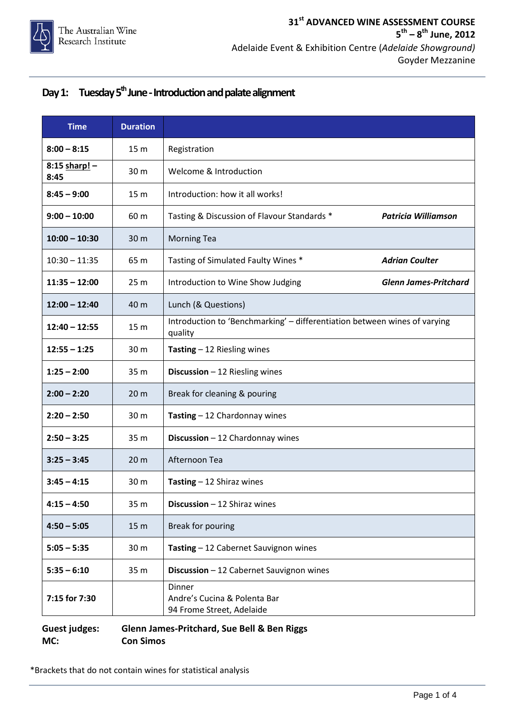#### Day 1: Tuesday 5<sup>th</sup> June - Introduction and palate alignment

| <b>Time</b>           | <b>Duration</b> |                                                                                      |  |
|-----------------------|-----------------|--------------------------------------------------------------------------------------|--|
| $8:00 - 8:15$         | 15 <sub>m</sub> | Registration                                                                         |  |
| 8:15 sharp! -<br>8:45 | 30 m            | Welcome & Introduction                                                               |  |
| $8:45 - 9:00$         | 15 m            | Introduction: how it all works!                                                      |  |
| $9:00 - 10:00$        | 60 m            | Tasting & Discussion of Flavour Standards *<br><b>Patricia Williamson</b>            |  |
| $10:00 - 10:30$       | 30 m            | <b>Morning Tea</b>                                                                   |  |
| $10:30 - 11:35$       | 65 m            | Tasting of Simulated Faulty Wines *<br><b>Adrian Coulter</b>                         |  |
| $11:35 - 12:00$       | 25 <sub>m</sub> | Introduction to Wine Show Judging<br><b>Glenn James-Pritchard</b>                    |  |
| $12:00 - 12:40$       | 40 m            | Lunch (& Questions)                                                                  |  |
| $12:40 - 12:55$       | 15 m            | Introduction to 'Benchmarking' - differentiation between wines of varying<br>quality |  |
| $12:55 - 1:25$        | 30 m            | Tasting $-12$ Riesling wines                                                         |  |
| $1:25 - 2:00$         | 35 m            | Discussion $-12$ Riesling wines                                                      |  |
| $2:00 - 2:20$         | 20 <sub>m</sub> | Break for cleaning & pouring                                                         |  |
| $2:20 - 2:50$         | 30 m            | Tasting $-12$ Chardonnay wines                                                       |  |
| $2:50 - 3:25$         | 35 m            | Discussion $-12$ Chardonnay wines                                                    |  |
| $3:25 - 3:45$         | 20 <sub>m</sub> | Afternoon Tea                                                                        |  |
| $3:45 - 4:15$         | 30 m            | Tasting $-12$ Shiraz wines                                                           |  |
| $4:15 - 4:50$         | 35 m            | <b>Discussion</b> $-12$ Shiraz wines                                                 |  |
| $4:50 - 5:05$         | 15 <sub>m</sub> | Break for pouring                                                                    |  |
| $5:05 - 5:35$         | 30 <sub>m</sub> | Tasting - 12 Cabernet Sauvignon wines                                                |  |
| $5:35 - 6:10$         | 35 m            | Discussion - 12 Cabernet Sauvignon wines                                             |  |
| 7:15 for 7:30         |                 | Dinner<br>Andre's Cucina & Polenta Bar<br>94 Frome Street, Adelaide                  |  |

#### **Guest judges: Glenn James-Pritchard, Sue Bell & Ben Riggs MC: Con Simos**

\*Brackets that do not contain wines for statistical analysis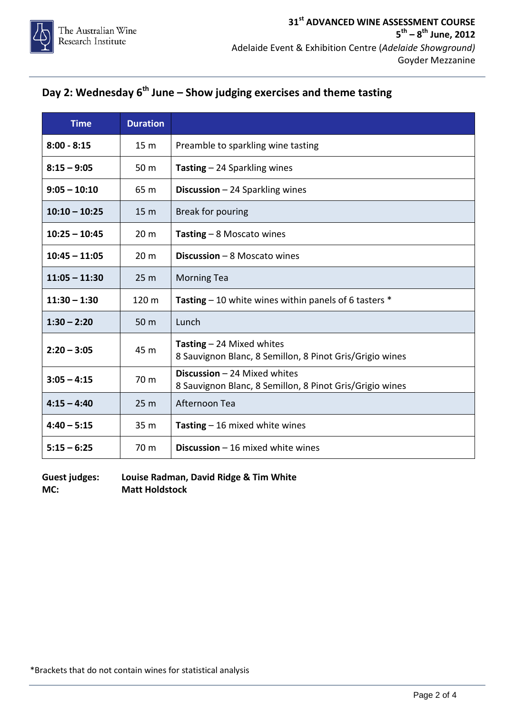# **Day 2: Wednesday 6<sup>th</sup> June – Show judging exercises and theme tasting**

| <b>Time</b>     | <b>Duration</b> |                                                                                          |
|-----------------|-----------------|------------------------------------------------------------------------------------------|
| $8:00 - 8:15$   | 15 <sub>m</sub> | Preamble to sparkling wine tasting                                                       |
| $8:15 - 9:05$   | 50 m            | <b>Tasting - 24 Sparkling wines</b>                                                      |
| $9:05 - 10:10$  | 65 m            | <b>Discussion</b> $-$ 24 Sparkling wines                                                 |
| $10:10 - 10:25$ | 15 <sub>m</sub> | Break for pouring                                                                        |
| $10:25 - 10:45$ | 20 <sub>m</sub> | Tasting $-8$ Moscato wines                                                               |
| $10:45 - 11:05$ | 20 <sub>m</sub> | <b>Discussion</b> $-$ 8 Moscato wines                                                    |
| $11:05 - 11:30$ | 25 <sub>m</sub> | <b>Morning Tea</b>                                                                       |
| $11:30 - 1:30$  | 120 m           | Tasting $-10$ white wines within panels of 6 tasters $*$                                 |
| $1:30 - 2:20$   | 50 <sub>m</sub> | Lunch                                                                                    |
| $2:20 - 3:05$   | 45 m            | Tasting $-$ 24 Mixed whites<br>8 Sauvignon Blanc, 8 Semillon, 8 Pinot Gris/Grigio wines  |
| $3:05 - 4:15$   | 70 m            | Discussion - 24 Mixed whites<br>8 Sauvignon Blanc, 8 Semillon, 8 Pinot Gris/Grigio wines |
| $4:15 - 4:40$   | 25 <sub>m</sub> | Afternoon Tea                                                                            |
| $4:40 - 5:15$   | 35 <sub>m</sub> | Tasting $-16$ mixed white wines                                                          |
| $5:15 - 6:25$   | 70 m            | <b>Discussion</b> $-$ 16 mixed white wines                                               |

**Guest judges: Louise Radman, David Ridge & Tim White MC: Matt Holdstock**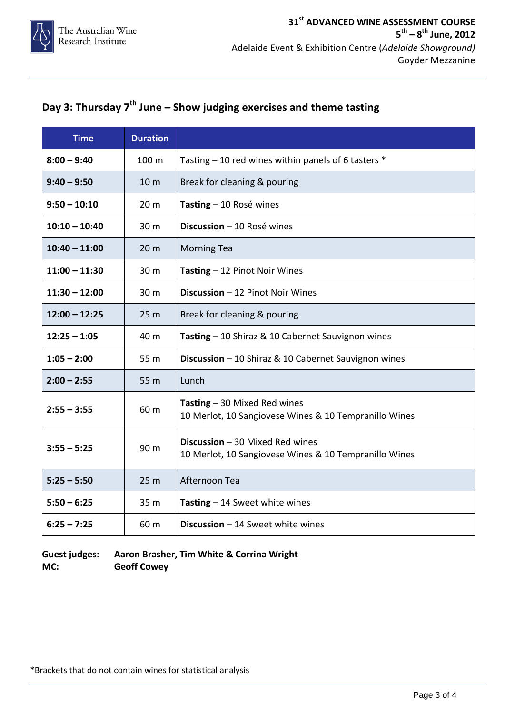### **Day 3: Thursday 7th June – Show judging exercises and theme tasting**

| <b>Time</b>     | <b>Duration</b> |                                                                                          |
|-----------------|-----------------|------------------------------------------------------------------------------------------|
| $8:00 - 9:40$   | 100 m           | Tasting - 10 red wines within panels of 6 tasters *                                      |
| $9:40 - 9:50$   | 10 <sub>m</sub> | Break for cleaning & pouring                                                             |
| $9:50 - 10:10$  | 20 <sub>m</sub> | Tasting - 10 Rosé wines                                                                  |
| $10:10 - 10:40$ | 30 m            | Discussion - 10 Rosé wines                                                               |
| $10:40 - 11:00$ | 20 <sub>m</sub> | <b>Morning Tea</b>                                                                       |
| $11:00 - 11:30$ | 30 m            | Tasting - 12 Pinot Noir Wines                                                            |
| $11:30 - 12:00$ | 30 m            | Discussion - 12 Pinot Noir Wines                                                         |
| $12:00 - 12:25$ | 25 <sub>m</sub> | Break for cleaning & pouring                                                             |
| $12:25 - 1:05$  | 40 m            | Tasting - 10 Shiraz & 10 Cabernet Sauvignon wines                                        |
| $1:05 - 2:00$   | 55 m            | Discussion - 10 Shiraz & 10 Cabernet Sauvignon wines                                     |
| $2:00 - 2:55$   | 55 m            | Lunch                                                                                    |
| $2:55 - 3:55$   | 60 m            | Tasting $-30$ Mixed Red wines<br>10 Merlot, 10 Sangiovese Wines & 10 Tempranillo Wines   |
| $3:55 - 5:25$   | 90 m            | Discussion - 30 Mixed Red wines<br>10 Merlot, 10 Sangiovese Wines & 10 Tempranillo Wines |
| $5:25 - 5:50$   | 25 <sub>m</sub> | Afternoon Tea                                                                            |
| $5:50 - 6:25$   | 35 <sub>m</sub> | Tasting $-14$ Sweet white wines                                                          |
| $6:25 - 7:25$   | 60 m            | Discussion - 14 Sweet white wines                                                        |

**Guest judges: Aaron Brasher, Tim White & Corrina Wright MC: Geoff Cowey**

\*Brackets that do not contain wines for statistical analysis